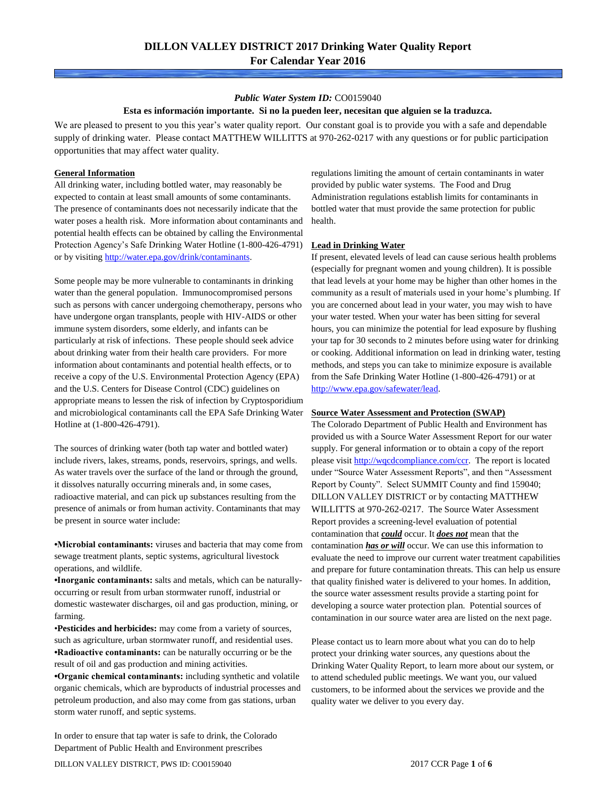### *Public Water System ID:* CO0159040

### **Esta es información importante. Si no la pueden leer, necesitan que alguien se la traduzca.**

We are pleased to present to you this year's water quality report. Our constant goal is to provide you with a safe and dependable supply of drinking water. Please contact MATTHEW WILLITTS at 970-262-0217 with any questions or for public participation opportunities that may affect water quality.

#### **General Information**

All drinking water, including bottled water, may reasonably be expected to contain at least small amounts of some contaminants. The presence of contaminants does not necessarily indicate that the water poses a health risk. More information about contaminants and potential health effects can be obtained by calling the Environmental Protection Agency's Safe Drinking Water Hotline (1-800-426-4791) or by visiting [http://water.epa.gov/drink/contaminants.](http://water.epa.gov/drink/contaminants)

Some people may be more vulnerable to contaminants in drinking water than the general population. Immunocompromised persons such as persons with cancer undergoing chemotherapy, persons who have undergone organ transplants, people with HIV-AIDS or other immune system disorders, some elderly, and infants can be particularly at risk of infections. These people should seek advice about drinking water from their health care providers. For more information about contaminants and potential health effects, or to receive a copy of the U.S. Environmental Protection Agency (EPA) and the U.S. Centers for Disease Control (CDC) guidelines on appropriate means to lessen the risk of infection by Cryptosporidium and microbiological contaminants call the EPA Safe Drinking Water Hotline at (1-800-426-4791).

The sources of drinking water (both tap water and bottled water) include rivers, lakes, streams, ponds, reservoirs, springs, and wells. As water travels over the surface of the land or through the ground, it dissolves naturally occurring minerals and, in some cases, radioactive material, and can pick up substances resulting from the presence of animals or from human activity. Contaminants that may be present in source water include:

**•Microbial contaminants:** viruses and bacteria that may come from sewage treatment plants, septic systems, agricultural livestock operations, and wildlife.

**•Inorganic contaminants:** salts and metals, which can be naturallyoccurring or result from urban stormwater runoff, industrial or domestic wastewater discharges, oil and gas production, mining, or farming.

•**Pesticides and herbicides:** may come from a variety of sources, such as agriculture, urban stormwater runoff, and residential uses. **•Radioactive contaminants:** can be naturally occurring or be the result of oil and gas production and mining activities.

**•Organic chemical contaminants:** including synthetic and volatile organic chemicals, which are byproducts of industrial processes and petroleum production, and also may come from gas stations, urban storm water runoff, and septic systems.

In order to ensure that tap water is safe to drink, the Colorado Department of Public Health and Environment prescribes

regulations limiting the amount of certain contaminants in water provided by public water systems. The Food and Drug Administration regulations establish limits for contaminants in bottled water that must provide the same protection for public health.

### **Lead in Drinking Water**

If present, elevated levels of lead can cause serious health problems (especially for pregnant women and young children). It is possible that lead levels at your home may be higher than other homes in the community as a result of materials used in your home's plumbing. If you are concerned about lead in your water, you may wish to have your water tested. When your water has been sitting for several hours, you can minimize the potential for lead exposure by flushing your tap for 30 seconds to 2 minutes before using water for drinking or cooking. Additional information on lead in drinking water, testing methods, and steps you can take to minimize exposure is available from the Safe Drinking Water Hotline (1-800-426-4791) or at [http://www.epa.gov/safewater/lead.](http://www.epa.gov/safewater/lead) 

#### **Source Water Assessment and Protection (SWAP)**

The Colorado Department of Public Health and Environment has provided us with a Source Water Assessment Report for our water supply. For general information or to obtain a copy of the report please visit [http://wqcdcompliance.com/ccr.](http://wqcdcompliance.com/ccr) The report is located under "Source Water Assessment Reports", and then "Assessment Report by County". Select SUMMIT County and find 159040; DILLON VALLEY DISTRICT or by contacting MATTHEW WILLITTS at 970-262-0217. The Source Water Assessment Report provides a screening-level evaluation of potential contamination that *could* occur. It *does not* mean that the contamination *has or will* occur. We can use this information to evaluate the need to improve our current water treatment capabilities and prepare for future contamination threats. This can help us ensure that quality finished water is delivered to your homes. In addition, the source water assessment results provide a starting point for developing a source water protection plan. Potential sources of contamination in our source water area are listed on the next page.

Please contact us to learn more about what you can do to help protect your drinking water sources, any questions about the Drinking Water Quality Report, to learn more about our system, or to attend scheduled public meetings. We want you, our valued customers, to be informed about the services we provide and the quality water we deliver to you every day.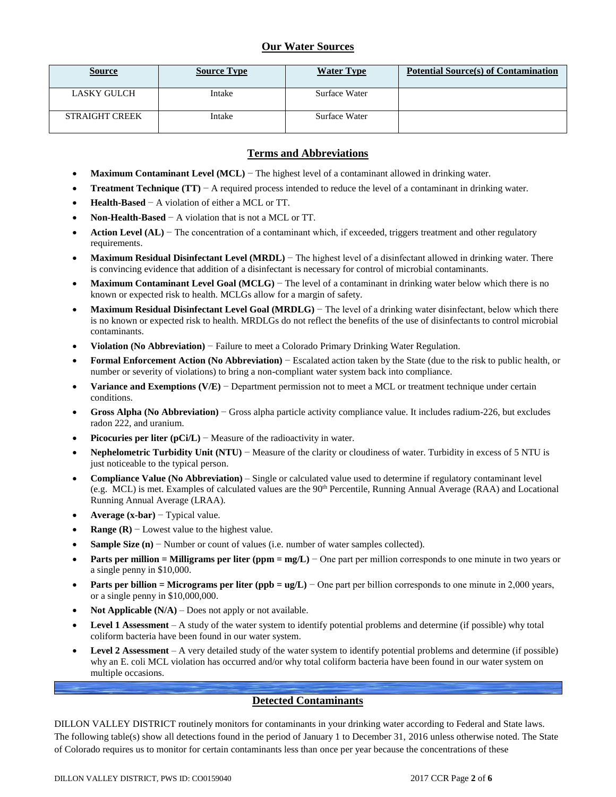# **Our Water Sources**

| <b>Source</b>         | <b>Source Type</b> | <b>Water Type</b> | <b>Potential Source(s) of Contamination</b> |
|-----------------------|--------------------|-------------------|---------------------------------------------|
| LASKY GULCH           | Intake             | Surface Water     |                                             |
| <b>STRAIGHT CREEK</b> | Intake             | Surface Water     |                                             |

# **Terms and Abbreviations**

- **Maximum Contaminant Level (MCL)** − The highest level of a contaminant allowed in drinking water.
- **Treatment Technique (TT)** − A required process intended to reduce the level of a contaminant in drinking water.
- **Health-Based** − A violation of either a MCL or TT.
- **Non-Health-Based** − A violation that is not a MCL or TT.
- **Action Level (AL)** − The concentration of a contaminant which, if exceeded, triggers treatment and other regulatory requirements.
- **Maximum Residual Disinfectant Level (MRDL)** − The highest level of a disinfectant allowed in drinking water. There is convincing evidence that addition of a disinfectant is necessary for control of microbial contaminants.
- **Maximum Contaminant Level Goal (MCLG)** − The level of a contaminant in drinking water below which there is no known or expected risk to health. MCLGs allow for a margin of safety.
- **Maximum Residual Disinfectant Level Goal (MRDLG)** − The level of a drinking water disinfectant, below which there is no known or expected risk to health. MRDLGs do not reflect the benefits of the use of disinfectants to control microbial contaminants.
- **Violation (No Abbreviation)** − Failure to meet a Colorado Primary Drinking Water Regulation.
- **Formal Enforcement Action (No Abbreviation)** − Escalated action taken by the State (due to the risk to public health, or number or severity of violations) to bring a non-compliant water system back into compliance.
- **Variance and Exemptions (V/E)** − Department permission not to meet a MCL or treatment technique under certain conditions.
- **Gross Alpha (No Abbreviation)** − Gross alpha particle activity compliance value. It includes radium-226, but excludes radon 222, and uranium.
- **Picocuries per liter (pCi/L)** − Measure of the radioactivity in water.
- **Nephelometric Turbidity Unit (NTU)** − Measure of the clarity or cloudiness of water. Turbidity in excess of 5 NTU is just noticeable to the typical person.
- **Compliance Value (No Abbreviation)** Single or calculated value used to determine if regulatory contaminant level (e.g. MCL) is met. Examples of calculated values are the 90<sup>th</sup> Percentile, Running Annual Average (RAA) and Locational Running Annual Average (LRAA).
- **Average (x-bar)** − Typical value.
- **Range (R)**  $-$  Lowest value to the highest value.
- **Sample Size (n)** − Number or count of values (i.e. number of water samples collected).
- **Parts per million = Milligrams per liter (ppm = mg/L)** − One part per million corresponds to one minute in two years or a single penny in \$10,000.
- **Parts per billion = Micrograms per liter (ppb = ug/L)** − One part per billion corresponds to one minute in 2,000 years, or a single penny in \$10,000,000.
- **Not Applicable**  $(N/A)$  Does not apply or not available.
- **Level 1 Assessment** A study of the water system to identify potential problems and determine (if possible) why total coliform bacteria have been found in our water system.
- **Level 2 Assessment** A very detailed study of the water system to identify potential problems and determine (if possible) why an E. coli MCL violation has occurred and/or why total coliform bacteria have been found in our water system on multiple occasions.

# **Detected Contaminants**

DILLON VALLEY DISTRICT routinely monitors for contaminants in your drinking water according to Federal and State laws. The following table(s) show all detections found in the period of January 1 to December 31, 2016 unless otherwise noted. The State of Colorado requires us to monitor for certain contaminants less than once per year because the concentrations of these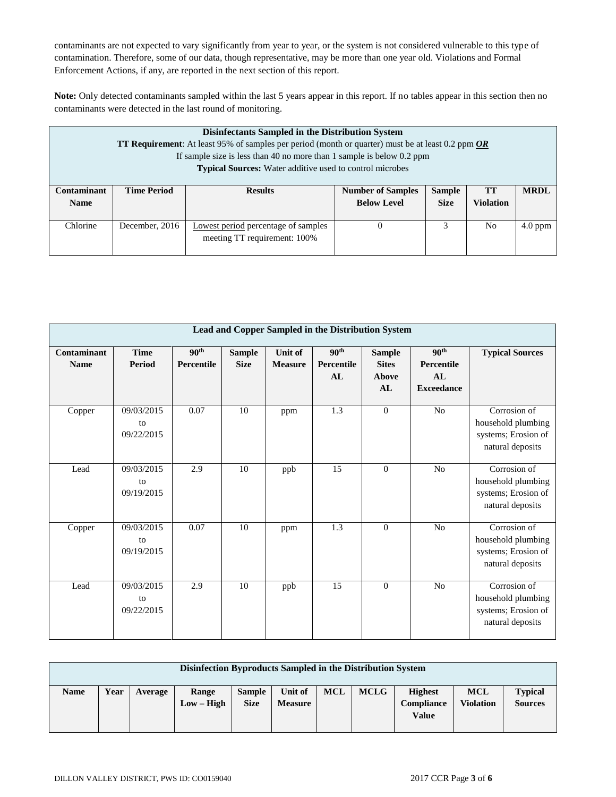contaminants are not expected to vary significantly from year to year, or the system is not considered vulnerable to this type of contamination. Therefore, some of our data, though representative, may be more than one year old. Violations and Formal Enforcement Actions, if any, are reported in the next section of this report.

**Note:** Only detected contaminants sampled within the last 5 years appear in this report. If no tables appear in this section then no contaminants were detected in the last round of monitoring.

|                    | Disinfectants Sampled in the Distribution System<br><b>TT Requirement:</b> At least 95% of samples per period (month or quarter) must be at least 0.2 ppm $OR$<br>If sample size is less than 40 no more than 1 sample is below 0.2 ppm<br><b>Typical Sources:</b> Water additive used to control microbes |                                            |                          |               |                  |             |  |  |  |  |  |  |  |  |  |
|--------------------|------------------------------------------------------------------------------------------------------------------------------------------------------------------------------------------------------------------------------------------------------------------------------------------------------------|--------------------------------------------|--------------------------|---------------|------------------|-------------|--|--|--|--|--|--|--|--|--|
| <b>Contaminant</b> | <b>Time Period</b>                                                                                                                                                                                                                                                                                         | <b>Results</b>                             | <b>Number of Samples</b> | <b>Sample</b> | TТ               | <b>MRDL</b> |  |  |  |  |  |  |  |  |  |
| <b>Name</b>        |                                                                                                                                                                                                                                                                                                            |                                            | <b>Below Level</b>       | <b>Size</b>   | <b>Violation</b> |             |  |  |  |  |  |  |  |  |  |
| Chlorine           | December, 2016                                                                                                                                                                                                                                                                                             | <b>Lowest period</b> percentage of samples | $\theta$                 | 3             | N <sub>0</sub>   | $4.0$ ppm   |  |  |  |  |  |  |  |  |  |
|                    |                                                                                                                                                                                                                                                                                                            | meeting TT requirement: 100%               |                          |               |                  |             |  |  |  |  |  |  |  |  |  |

|                            | Lead and Copper Sampled in the Distribution System |                                |                              |                                  |                                      |                                              |                                                           |                                                                               |  |  |  |
|----------------------------|----------------------------------------------------|--------------------------------|------------------------------|----------------------------------|--------------------------------------|----------------------------------------------|-----------------------------------------------------------|-------------------------------------------------------------------------------|--|--|--|
| Contaminant<br><b>Name</b> | <b>Time</b><br>Period                              | 90 <sup>th</sup><br>Percentile | <b>Sample</b><br><b>Size</b> | <b>Unit of</b><br><b>Measure</b> | 90 <sup>th</sup><br>Percentile<br>AL | <b>Sample</b><br><b>Sites</b><br>Above<br>AL | 90 <sup>th</sup><br>Percentile<br>AL<br><b>Exceedance</b> | <b>Typical Sources</b>                                                        |  |  |  |
| Copper                     | 09/03/2015<br>to<br>09/22/2015                     | 0.07                           | 10                           | ppm                              | $\overline{1.3}$                     | $\overline{0}$                               | N <sub>o</sub>                                            | Corrosion of<br>household plumbing<br>systems; Erosion of<br>natural deposits |  |  |  |
| Lead                       | 09/03/2015<br>to<br>09/19/2015                     | 2.9                            | 10                           | ppb                              | 15                                   | $\theta$                                     | No                                                        | Corrosion of<br>household plumbing<br>systems; Erosion of<br>natural deposits |  |  |  |
| Copper                     | 09/03/2015<br>to<br>09/19/2015                     | 0.07                           | 10                           | ppm                              | 1.3                                  | $\theta$                                     | N <sub>o</sub>                                            | Corrosion of<br>household plumbing<br>systems; Erosion of<br>natural deposits |  |  |  |
| Lead                       | 09/03/2015<br>to<br>09/22/2015                     | 2.9                            | 10                           | ppb                              | 15                                   | $\theta$                                     | N <sub>o</sub>                                            | Corrosion of<br>household plumbing<br>systems; Erosion of<br>natural deposits |  |  |  |

| Disinfection Byproducts Sampled in the Distribution System |      |         |                       |                              |                           |            |             |                                              |                                |                                  |
|------------------------------------------------------------|------|---------|-----------------------|------------------------------|---------------------------|------------|-------------|----------------------------------------------|--------------------------------|----------------------------------|
| <b>Name</b>                                                | Year | Average | Range<br>$Low - High$ | <b>Sample</b><br><b>Size</b> | Unit of<br><b>Measure</b> | <b>MCL</b> | <b>MCLG</b> | <b>Highest</b><br>Compliance<br><b>Value</b> | <b>MCL</b><br><b>Violation</b> | <b>Typical</b><br><b>Sources</b> |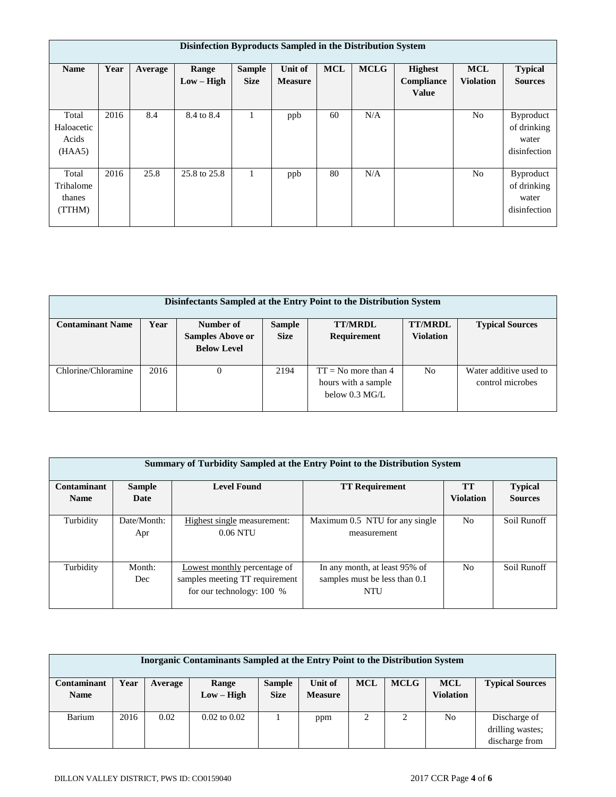|                                        | Disinfection Byproducts Sampled in the Distribution System |         |                       |                              |                                  |            |             |                                              |                                |                                                          |  |  |
|----------------------------------------|------------------------------------------------------------|---------|-----------------------|------------------------------|----------------------------------|------------|-------------|----------------------------------------------|--------------------------------|----------------------------------------------------------|--|--|
| <b>Name</b>                            | Year                                                       | Average | Range<br>$Low - High$ | <b>Sample</b><br><b>Size</b> | <b>Unit of</b><br><b>Measure</b> | <b>MCL</b> | <b>MCLG</b> | <b>Highest</b><br>Compliance<br><b>Value</b> | <b>MCL</b><br><b>Violation</b> | <b>Typical</b><br><b>Sources</b>                         |  |  |
| Total<br>Haloacetic<br>Acids<br>(HAA5) | 2016                                                       | 8.4     | 8.4 to 8.4            |                              | ppb                              | 60         | N/A         |                                              | N <sub>o</sub>                 | <b>Byproduct</b><br>of drinking<br>water<br>disinfection |  |  |
| Total<br>Trihalome<br>thanes<br>(TTHM) | 2016                                                       | 25.8    | 25.8 to 25.8          |                              | ppb                              | 80         | N/A         |                                              | No                             | <b>Byproduct</b><br>of drinking<br>water<br>disinfection |  |  |

| Disinfectants Sampled at the Entry Point to the Distribution System |      |                         |               |                                                                          |                  |                                            |  |  |  |  |  |
|---------------------------------------------------------------------|------|-------------------------|---------------|--------------------------------------------------------------------------|------------------|--------------------------------------------|--|--|--|--|--|
| <b>Contaminant Name</b>                                             | Year | Number of               | <b>Sample</b> | <b>TT/MRDL</b>                                                           | <b>TT/MRDL</b>   | <b>Typical Sources</b>                     |  |  |  |  |  |
|                                                                     |      | <b>Samples Above or</b> | <b>Size</b>   | Requirement                                                              | <b>Violation</b> |                                            |  |  |  |  |  |
|                                                                     |      | <b>Below Level</b>      |               |                                                                          |                  |                                            |  |  |  |  |  |
| Chlorine/Chloramine                                                 | 2016 |                         | 2194          | $TT = No$ more than 4<br>hours with a sample<br>below $0.3 \text{ MG/L}$ | N <sub>0</sub>   | Water additive used to<br>control microbes |  |  |  |  |  |

| Summary of Turbidity Sampled at the Entry Point to the Distribution System |                    |                                                                                               |                                                                              |                  |                |  |  |  |  |  |  |
|----------------------------------------------------------------------------|--------------------|-----------------------------------------------------------------------------------------------|------------------------------------------------------------------------------|------------------|----------------|--|--|--|--|--|--|
| <b>Contaminant</b>                                                         | <b>Sample</b>      | <b>TT</b>                                                                                     | <b>Typical</b>                                                               |                  |                |  |  |  |  |  |  |
| <b>Name</b>                                                                | Date               |                                                                                               |                                                                              | <b>Violation</b> | <b>Sources</b> |  |  |  |  |  |  |
| Turbidity                                                                  | Date/Month:<br>Apr | Highest single measurement:<br>$0.06$ NTU                                                     | Maximum 0.5 NTU for any single<br>measurement                                | N <sub>0</sub>   | Soil Runoff    |  |  |  |  |  |  |
| Turbidity                                                                  | Month:<br>Dec      | Lowest monthly percentage of<br>samples meeting TT requirement<br>for our technology: $100\%$ | In any month, at least 95% of<br>samples must be less than 0.1<br><b>NTU</b> | N <sub>0</sub>   | Soil Runoff    |  |  |  |  |  |  |

| Inorganic Contaminants Sampled at the Entry Point to the Distribution System |      |         |                       |                              |                           |            |             |                                |                                                    |  |
|------------------------------------------------------------------------------|------|---------|-----------------------|------------------------------|---------------------------|------------|-------------|--------------------------------|----------------------------------------------------|--|
| Contaminant<br><b>Name</b>                                                   | Year | Average | Range<br>$Low - High$ | <b>Sample</b><br><b>Size</b> | Unit of<br><b>Measure</b> | <b>MCL</b> | <b>MCLG</b> | <b>MCL</b><br><b>Violation</b> | <b>Typical Sources</b>                             |  |
| Barium                                                                       | 2016 | 0.02    | $0.02$ to $0.02$      |                              | ppm                       |            | 2           | No                             | Discharge of<br>drilling wastes;<br>discharge from |  |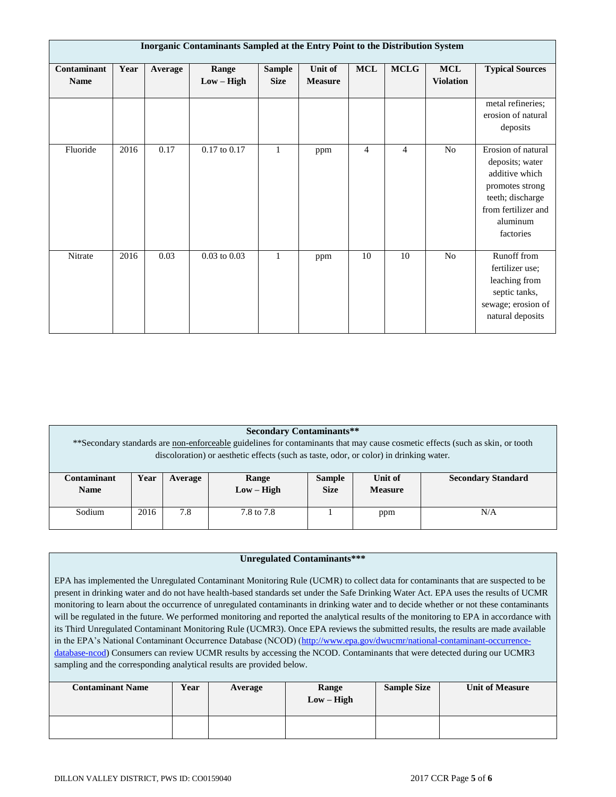| Inorganic Contaminants Sampled at the Entry Point to the Distribution System |      |         |                       |                              |                           |                |                |                                |                                                                                                                                                |  |
|------------------------------------------------------------------------------|------|---------|-----------------------|------------------------------|---------------------------|----------------|----------------|--------------------------------|------------------------------------------------------------------------------------------------------------------------------------------------|--|
| Contaminant<br><b>Name</b>                                                   | Year | Average | Range<br>$Low - High$ | <b>Sample</b><br><b>Size</b> | Unit of<br><b>Measure</b> | <b>MCL</b>     | <b>MCLG</b>    | <b>MCL</b><br><b>Violation</b> | <b>Typical Sources</b>                                                                                                                         |  |
|                                                                              |      |         |                       |                              |                           |                |                |                                | metal refineries;<br>erosion of natural<br>deposits                                                                                            |  |
| Fluoride                                                                     | 2016 | 0.17    | $0.17$ to $0.17$      | 1                            | ppm                       | $\overline{4}$ | $\overline{4}$ | N <sub>o</sub>                 | Erosion of natural<br>deposits; water<br>additive which<br>promotes strong<br>teeth; discharge<br>from fertilizer and<br>aluminum<br>factories |  |
| Nitrate                                                                      | 2016 | 0.03    | $0.03$ to $0.03$      | $\mathbf{1}$                 | ppm                       | 10             | 10             | No                             | Runoff from<br>fertilizer use;<br>leaching from<br>septic tanks,<br>sewage; erosion of<br>natural deposits                                     |  |

|                                                                                                                                                                                                                         | <b>Secondary Contaminants**</b>                                                                                                    |     |            |  |     |     |  |  |  |  |  |
|-------------------------------------------------------------------------------------------------------------------------------------------------------------------------------------------------------------------------|------------------------------------------------------------------------------------------------------------------------------------|-----|------------|--|-----|-----|--|--|--|--|--|
| **Secondary standards are non-enforceable guidelines for contaminants that may cause cosmetic effects (such as skin, or tooth<br>discoloration) or aesthetic effects (such as taste, odor, or color) in drinking water. |                                                                                                                                    |     |            |  |     |     |  |  |  |  |  |
| Contaminant<br><b>Name</b>                                                                                                                                                                                              | Unit of<br><b>Secondary Standard</b><br>Year<br><b>Sample</b><br>Range<br>Average<br>$Low - High$<br><b>Size</b><br><b>Measure</b> |     |            |  |     |     |  |  |  |  |  |
| Sodium                                                                                                                                                                                                                  | 2016                                                                                                                               | 7.8 | 7.8 to 7.8 |  | ppm | N/A |  |  |  |  |  |

### **Unregulated Contaminants\*\*\***

EPA has implemented the Unregulated Contaminant Monitoring Rule (UCMR) to collect data for contaminants that are suspected to be present in drinking water and do not have health-based standards set under the Safe Drinking Water Act. EPA uses the results of UCMR monitoring to learn about the occurrence of unregulated contaminants in drinking water and to decide whether or not these contaminants will be regulated in the future. We performed monitoring and reported the analytical results of the monitoring to EPA in accordance with its Third Unregulated Contaminant Monitoring Rule (UCMR3). Once EPA reviews the submitted results, the results are made available in the EPA's National Contaminant Occurrence Database (NCOD) [\(http://www.epa.gov/dwucmr/national-contaminant-occurrence](http://www.epa.gov/dwucmr/national-contaminant-occurrence-database-ncod)[database-ncod\)](http://www.epa.gov/dwucmr/national-contaminant-occurrence-database-ncod) Consumers can review UCMR results by accessing the NCOD. Contaminants that were detected during our UCMR3 sampling and the corresponding analytical results are provided below.

| <b>Contaminant Name</b> | Year | Average | Range<br>$Low - High$ | <b>Sample Size</b> | <b>Unit of Measure</b> |
|-------------------------|------|---------|-----------------------|--------------------|------------------------|
|                         |      |         |                       |                    |                        |